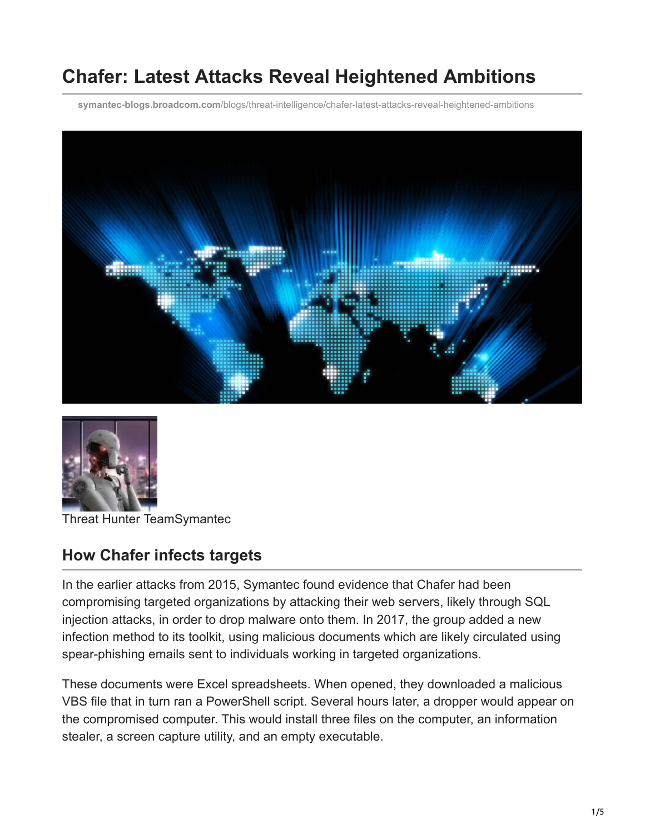# **Chafer: Latest Attacks Reveal Heightened Ambitions**

**symantec-blogs.broadcom.com**[/blogs/threat-intelligence/chafer-latest-attacks-reveal-heightened-ambitions](https://symantec-blogs.broadcom.com/blogs/threat-intelligence/chafer-latest-attacks-reveal-heightened-ambitions)





Threat Hunter TeamSymantec

### **How Chafer infects targets**

In the earlier attacks from 2015, Symantec found evidence that Chafer had been compromising targeted organizations by attacking their web servers, likely through SQL injection attacks, in order to drop malware onto them. In 2017, the group added a new infection method to its toolkit, using malicious documents which are likely circulated using spear-phishing emails sent to individuals working in targeted organizations.

These documents were Excel spreadsheets. When opened, they downloaded a malicious VBS file that in turn ran a PowerShell script. Several hours later, a dropper would appear on the compromised computer. This would install three files on the computer, an information stealer, a screen capture utility, and an empty executable.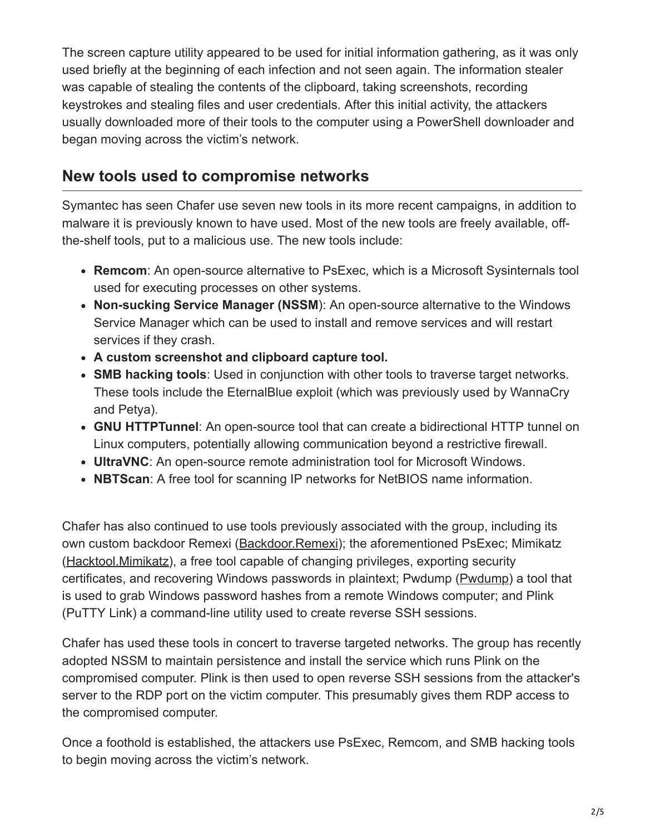The screen capture utility appeared to be used for initial information gathering, as it was only used briefly at the beginning of each infection and not seen again. The information stealer was capable of stealing the contents of the clipboard, taking screenshots, recording keystrokes and stealing files and user credentials. After this initial activity, the attackers usually downloaded more of their tools to the computer using a PowerShell downloader and began moving across the victim's network.

#### **New tools used to compromise networks**

Symantec has seen Chafer use seven new tools in its more recent campaigns, in addition to malware it is previously known to have used. Most of the new tools are freely available, offthe-shelf tools, put to a malicious use. The new tools include:

- **Remcom**: An open-source alternative to PsExec, which is a Microsoft Sysinternals tool used for executing processes on other systems.
- **Non-sucking Service Manager (NSSM**): An open-source alternative to the Windows Service Manager which can be used to install and remove services and will restart services if they crash.
- **A custom screenshot and clipboard capture tool.**
- **SMB hacking tools**: Used in conjunction with other tools to traverse target networks. These tools include the EternalBlue exploit (which was previously used by WannaCry and Petya).
- **GNU HTTPTunnel**: An open-source tool that can create a bidirectional HTTP tunnel on Linux computers, potentially allowing communication beyond a restrictive firewall.
- **UltraVNC**: An open-source remote administration tool for Microsoft Windows.
- **NBTScan**: A free tool for scanning IP networks for NetBIOS name information.

Chafer has also continued to use tools previously associated with the group, including its own custom backdoor Remexi ([Backdoor.Remexi](https://www.symantec.com/security_response/writeup.jsp?docid=2015-110911-3433-99)); the aforementioned PsExec; Mimikatz ([Hacktool.Mimikatz](https://www.symantec.com/security_response/writeup.jsp?docid=2012-042615-3731-99)), a free tool capable of changing privileges, exporting security certificates, and recovering Windows passwords in plaintext; Pwdump [\(Pwdump](https://www.symantec.com/security_response/writeup.jsp?docid=2005-032616-0025-99)) a tool that is used to grab Windows password hashes from a remote Windows computer; and Plink (PuTTY Link) a command-line utility used to create reverse SSH sessions.

Chafer has used these tools in concert to traverse targeted networks. The group has recently adopted NSSM to maintain persistence and install the service which runs Plink on the compromised computer. Plink is then used to open reverse SSH sessions from the attacker's server to the RDP port on the victim computer. This presumably gives them RDP access to the compromised computer.

Once a foothold is established, the attackers use PsExec, Remcom, and SMB hacking tools to begin moving across the victim's network.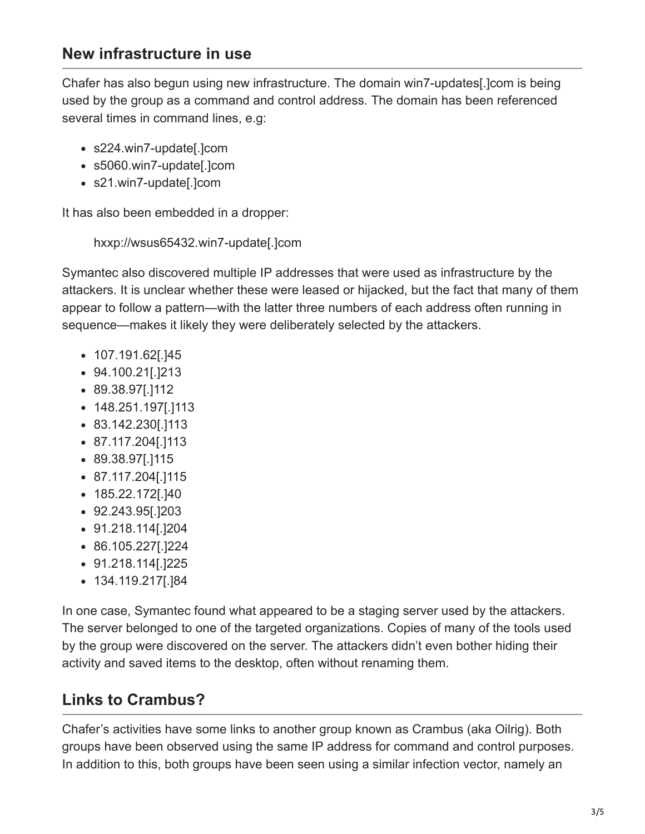### **New infrastructure in use**

Chafer has also begun using new infrastructure. The domain win7-updates[.]com is being used by the group as a command and control address. The domain has been referenced several times in command lines, e.g:

- s224.win7-update[.]com
- s5060.win7-update[.]com
- s21.win7-update[.]com

It has also been embedded in a dropper:

hxxp://wsus65432.win7-update[.]com

Symantec also discovered multiple IP addresses that were used as infrastructure by the attackers. It is unclear whether these were leased or hijacked, but the fact that many of them appear to follow a pattern—with the latter three numbers of each address often running in sequence—makes it likely they were deliberately selected by the attackers.

- 107.191.62[.]45
- 94.100.21[.]213
- 89.38.97[.]112
- 148.251.197[.]113
- 83.142.230[.]113
- 87.117.204[.]113
- 89.38.97[.]115
- 87.117.204[.]115
- 185.22.172[.]40
- 92.243.95[.]203
- 91.218.114[.]204
- 86.105.227[.]224
- 91.218.114[.]225
- 134.119.217[.]84

In one case, Symantec found what appeared to be a staging server used by the attackers. The server belonged to one of the targeted organizations. Copies of many of the tools used by the group were discovered on the server. The attackers didn't even bother hiding their activity and saved items to the desktop, often without renaming them.

## **Links to Crambus?**

Chafer's activities have some links to another group known as Crambus (aka Oilrig). Both groups have been observed using the same IP address for command and control purposes. In addition to this, both groups have been seen using a similar infection vector, namely an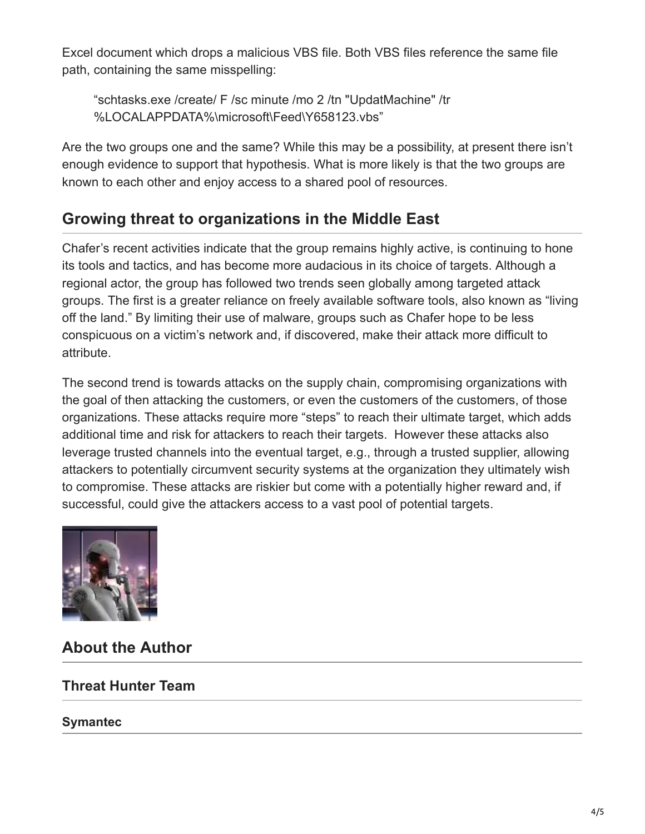Excel document which drops a malicious VBS file. Both VBS files reference the same file path, containing the same misspelling:

"schtasks.exe /create/ F /sc minute /mo 2 /tn "UpdatMachine" /tr %LOCALAPPDATA%\microsoft\Feed\Y658123.vbs"

Are the two groups one and the same? While this may be a possibility, at present there isn't enough evidence to support that hypothesis. What is more likely is that the two groups are known to each other and enjoy access to a shared pool of resources.

### **Growing threat to organizations in the Middle East**

Chafer's recent activities indicate that the group remains highly active, is continuing to hone its tools and tactics, and has become more audacious in its choice of targets. Although a regional actor, the group has followed two trends seen globally among targeted attack groups. The first is a greater reliance on freely available software tools, also known as "living off the land." By limiting their use of malware, groups such as Chafer hope to be less conspicuous on a victim's network and, if discovered, make their attack more difficult to attribute.

The second trend is towards attacks on the supply chain, compromising organizations with the goal of then attacking the customers, or even the customers of the customers, of those organizations. These attacks require more "steps" to reach their ultimate target, which adds additional time and risk for attackers to reach their targets. However these attacks also leverage trusted channels into the eventual target, e.g., through a trusted supplier, allowing attackers to potentially circumvent security systems at the organization they ultimately wish to compromise. These attacks are riskier but come with a potentially higher reward and, if successful, could give the attackers access to a vast pool of potential targets.



**About the Author**

#### **Threat Hunter Team**

#### **Symantec**